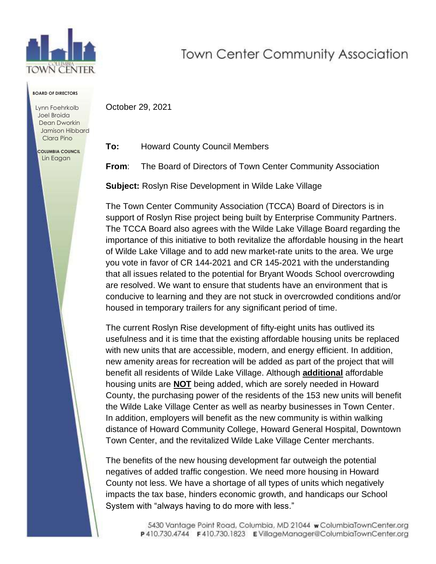

## **Town Center Community Association**

**BOARD OF DIRECTORS**

Lynn Foehrkolb Joel Broida Dean Dworkin Jamison Hibbard Clara Pino

 **COLUMBIA COUNCIL** Lin Eagan

**To:** Howard County Council Members

October 29, 2021

**From**: The Board of Directors of Town Center Community Association

**Subject:** Roslyn Rise Development in Wilde Lake Village

The Town Center Community Association (TCCA) Board of Directors is in support of Roslyn Rise project being built by Enterprise Community Partners. The TCCA Board also agrees with the Wilde Lake Village Board regarding the importance of this initiative to both revitalize the affordable housing in the heart of Wilde Lake Village and to add new market-rate units to the area. We urge you vote in favor of CR 144-2021 and CR 145-2021 with the understanding that all issues related to the potential for Bryant Woods School overcrowding are resolved. We want to ensure that students have an environment that is conducive to learning and they are not stuck in overcrowded conditions and/or housed in temporary trailers for any significant period of time.

The current Roslyn Rise development of fifty-eight units has outlived its usefulness and it is time that the existing affordable housing units be replaced with new units that are accessible, modern, and energy efficient. In addition, new amenity areas for recreation will be added as part of the project that will benefit all residents of Wilde Lake Village. Although **additional** affordable housing units are **NOT** being added, which are sorely needed in Howard County, the purchasing power of the residents of the 153 new units will benefit the Wilde Lake Village Center as well as nearby businesses in Town Center. In addition, employers will benefit as the new community is within walking distance of Howard Community College, Howard General Hospital, Downtown Town Center, and the revitalized Wilde Lake Village Center merchants.

The benefits of the new housing development far outweigh the potential negatives of added traffic congestion. We need more housing in Howard County not less. We have a shortage of all types of units which negatively impacts the tax base, hinders economic growth, and handicaps our School System with "always having to do more with less."